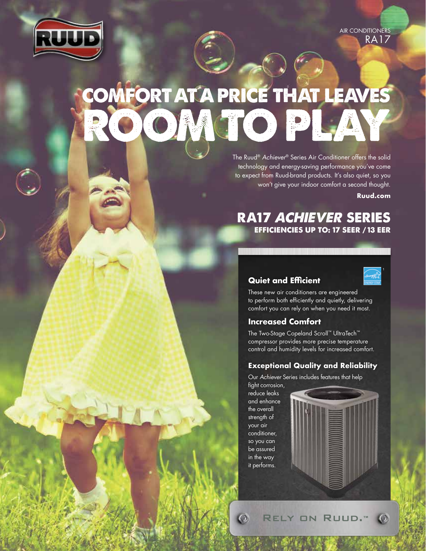

AIR CONDITIONERS RA17

# COMFORT AT A PRICE THAT LEAVES **RACTO PL**

The Ruud® *Achiever*® Series Air Conditioner offers the solid technology and energy-saving performance you've come to expect from Ruud-brand products. It's also quiet, so you won't give your indoor comfort a second thought.

**Ruud.com**

# RA17 ACHIEVER SERIES EFFICIENCIES UP TO: 17 SEER / 13 EER

## **Quiet and Efficient**



These new air conditioners are engineered to perform both efficiently and quietly, delivering comfort you can rely on when you need it most.

# **Increased Comfort**

The Two-Stage Copeland Scroll™ UltraTech™ compressor provides more precise temperature control and humidity levels for increased comfort.

## **Exceptional Quality and Reliability**

Our *Achiever* Series includes features that help fight corrosion,

reduce leaks and enhance the overall strength of your air conditioner, so you can be assured in the way it performs.

 $\overline{O}$